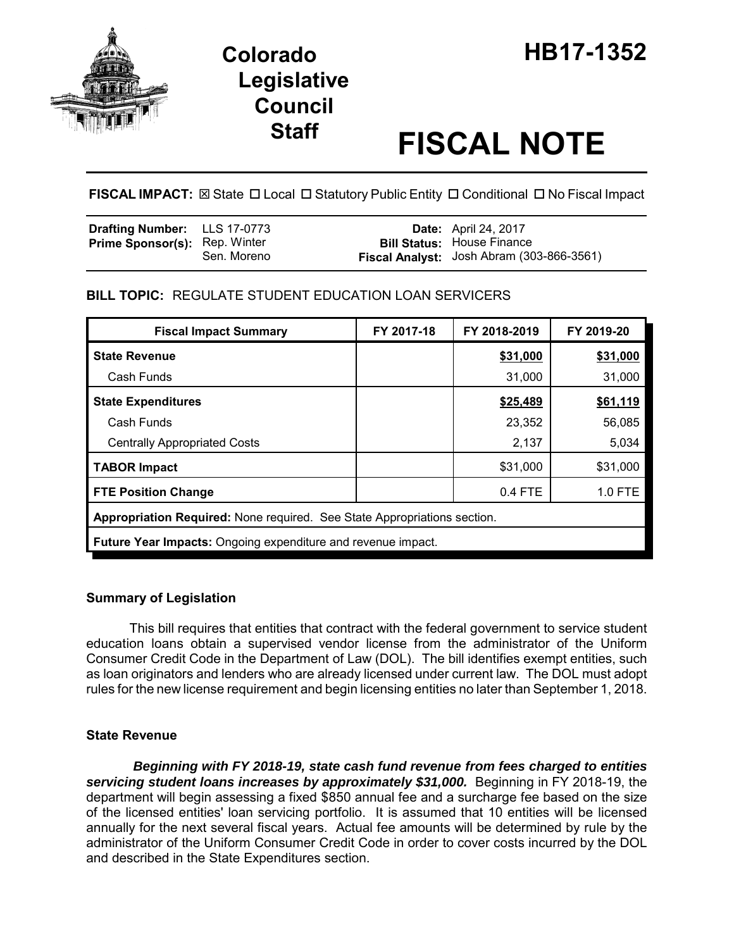

# **Staff FISCAL NOTE**

**FISCAL IMPACT:** ⊠ State □ Local □ Statutory Public Entity □ Conditional □ No Fiscal Impact

| <b>Drafting Number:</b> LLS 17-0773  |             | <b>Date:</b> April 24, 2017                                                    |
|--------------------------------------|-------------|--------------------------------------------------------------------------------|
| <b>Prime Sponsor(s): Rep. Winter</b> | Sen. Moreno | <b>Bill Status: House Finance</b><br>Fiscal Analyst: Josh Abram (303-866-3561) |

# **BILL TOPIC:** REGULATE STUDENT EDUCATION LOAN SERVICERS

| <b>Fiscal Impact Summary</b>                                             | FY 2017-18 | FY 2018-2019 | FY 2019-20 |  |  |  |
|--------------------------------------------------------------------------|------------|--------------|------------|--|--|--|
| <b>State Revenue</b>                                                     |            | \$31,000     | \$31,000   |  |  |  |
| Cash Funds                                                               |            | 31,000       | 31,000     |  |  |  |
| <b>State Expenditures</b>                                                |            | \$25,489     | \$61,119   |  |  |  |
| Cash Funds                                                               |            | 23,352       | 56,085     |  |  |  |
| <b>Centrally Appropriated Costs</b>                                      |            | 2,137        | 5,034      |  |  |  |
| <b>TABOR Impact</b>                                                      |            | \$31,000     | \$31,000   |  |  |  |
| <b>FTE Position Change</b>                                               |            | $0.4$ FTE    | 1.0 FTE    |  |  |  |
| Appropriation Required: None required. See State Appropriations section. |            |              |            |  |  |  |
| <b>Future Year Impacts:</b> Ongoing expenditure and revenue impact.      |            |              |            |  |  |  |

## **Summary of Legislation**

This bill requires that entities that contract with the federal government to service student education loans obtain a supervised vendor license from the administrator of the Uniform Consumer Credit Code in the Department of Law (DOL). The bill identifies exempt entities, such as loan originators and lenders who are already licensed under current law. The DOL must adopt rules for the new license requirement and begin licensing entities no later than September 1, 2018.

# **State Revenue**

 *Beginning with FY 2018-19, state cash fund revenue from fees charged to entities servicing student loans increases by approximately \$31,000.* Beginning in FY 2018-19, the department will begin assessing a fixed \$850 annual fee and a surcharge fee based on the size of the licensed entities' loan servicing portfolio. It is assumed that 10 entities will be licensed annually for the next several fiscal years. Actual fee amounts will be determined by rule by the administrator of the Uniform Consumer Credit Code in order to cover costs incurred by the DOL and described in the State Expenditures section.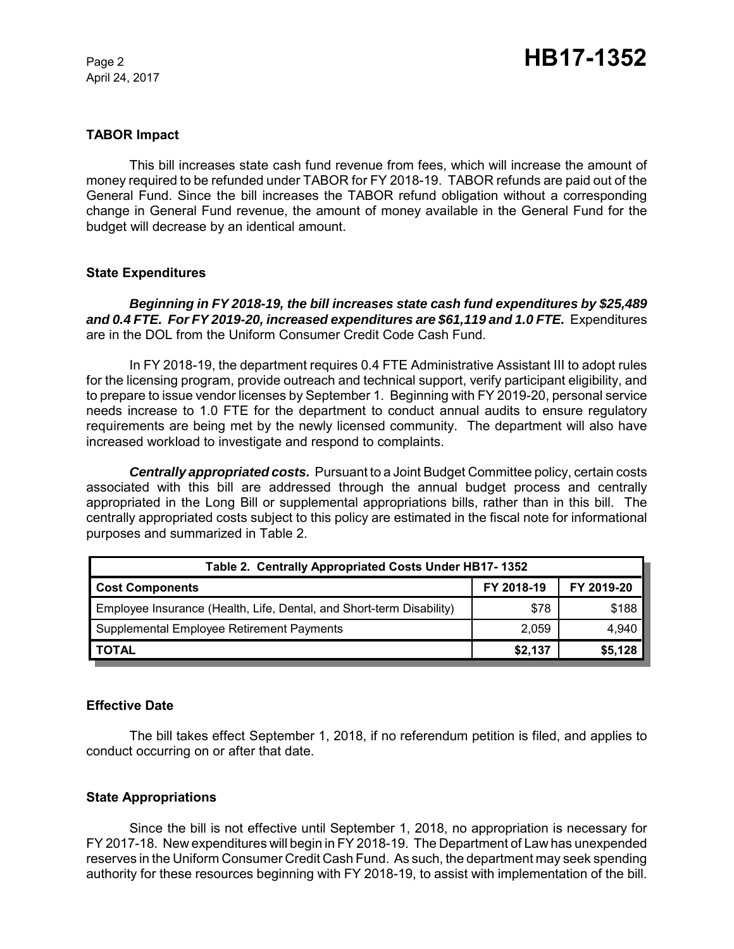April 24, 2017

## **TABOR Impact**

This bill increases state cash fund revenue from fees, which will increase the amount of money required to be refunded under TABOR for FY 2018-19. TABOR refunds are paid out of the General Fund. Since the bill increases the TABOR refund obligation without a corresponding change in General Fund revenue, the amount of money available in the General Fund for the budget will decrease by an identical amount.

#### **State Expenditures**

*Beginning in FY 2018-19, the bill increases state cash fund expenditures by \$25,489 and 0.4 FTE. For FY 2019-20, increased expenditures are \$61,119 and 1.0 FTE.* Expenditures are in the DOL from the Uniform Consumer Credit Code Cash Fund.

In FY 2018-19, the department requires 0.4 FTE Administrative Assistant III to adopt rules for the licensing program, provide outreach and technical support, verify participant eligibility, and to prepare to issue vendor licenses by September 1. Beginning with FY 2019-20, personal service needs increase to 1.0 FTE for the department to conduct annual audits to ensure regulatory requirements are being met by the newly licensed community. The department will also have increased workload to investigate and respond to complaints.

*Centrally appropriated costs.* Pursuant to a Joint Budget Committee policy, certain costs associated with this bill are addressed through the annual budget process and centrally appropriated in the Long Bill or supplemental appropriations bills, rather than in this bill. The centrally appropriated costs subject to this policy are estimated in the fiscal note for informational purposes and summarized in Table 2.

| Table 2. Centrally Appropriated Costs Under HB17-1352                |            |            |  |  |  |
|----------------------------------------------------------------------|------------|------------|--|--|--|
| <b>Cost Components</b>                                               | FY 2018-19 | FY 2019-20 |  |  |  |
| Employee Insurance (Health, Life, Dental, and Short-term Disability) | \$78       | \$188      |  |  |  |
| Supplemental Employee Retirement Payments                            | 2,059      | 4,940      |  |  |  |
| <b>TOTAL</b>                                                         | \$2,137    | \$5,128    |  |  |  |

#### **Effective Date**

The bill takes effect September 1, 2018, if no referendum petition is filed, and applies to conduct occurring on or after that date.

#### **State Appropriations**

Since the bill is not effective until September 1, 2018, no appropriation is necessary for FY 2017-18. New expenditures will begin in FY 2018-19. The Department of Law has unexpended reserves in the Uniform Consumer Credit Cash Fund. As such, the department may seek spending authority for these resources beginning with FY 2018-19, to assist with implementation of the bill.